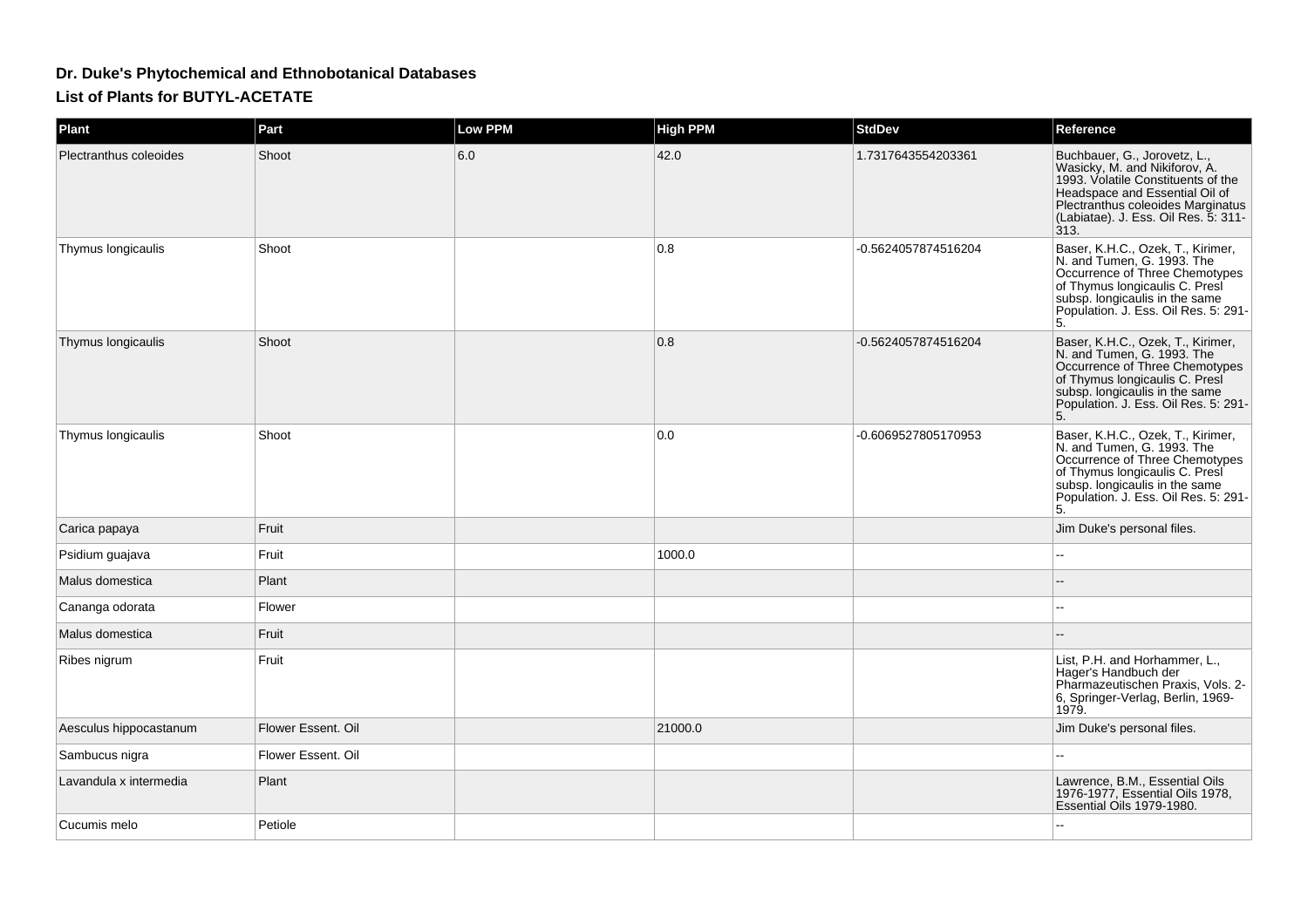## **Dr. Duke's Phytochemical and Ethnobotanical Databases**

**List of Plants for BUTYL-ACETATE**

| Plant                  | Part               | <b>Low PPM</b> | <b>High PPM</b> | <b>StdDev</b>       | Reference                                                                                                                                                                                                                  |
|------------------------|--------------------|----------------|-----------------|---------------------|----------------------------------------------------------------------------------------------------------------------------------------------------------------------------------------------------------------------------|
| Plectranthus coleoides | Shoot              | 6.0            | 42.0            | 1.7317643554203361  | Buchbauer, G., Jorovetz, L.,<br>Wasicky, M. and Nikiforov, A.<br>1993. Volatile Constituents of the<br>Headspace and Essential Oil of<br>Plectranthus coleoides Marginatus<br>(Labiatae). J. Ess. Oil Res. 5: 311-<br>313. |
| Thymus longicaulis     | Shoot              |                | 0.8             | -0.5624057874516204 | Baser, K.H.C., Ozek, T., Kirimer,<br>N. and Tumen, G. 1993. The<br>Occurrence of Three Chemotypes<br>of Thymus longicaulis C. Presi<br>subsp. longicaulis in the same<br>Population. J. Ess. Oil Res. 5: 291-<br>5.        |
| Thymus longicaulis     | Shoot              |                | 0.8             | -0.5624057874516204 | Baser, K.H.C., Ozek, T., Kirimer,<br>N. and Tumen, G. 1993. The<br>Occurrence of Three Chemotypes<br>of Thymus longicaulis C. Presi<br>subsp. longicaulis in the same<br>Population. J. Ess. Oil Res. 5: 291-<br>5.        |
| Thymus longicaulis     | Shoot              |                | 0.0             | -0.6069527805170953 | Baser, K.H.C., Ozek, T., Kirimer,<br>N. and Tumen, G. 1993. The<br>Occurrence of Three Chemotypes<br>of Thymus longicaulis C. Presi<br>subsp. longicaulis in the same<br>Population. J. Ess. Oil Res. 5: 291-<br>5.        |
| Carica papaya          | Fruit              |                |                 |                     | Jim Duke's personal files.                                                                                                                                                                                                 |
| Psidium guajava        | Fruit              |                | 1000.0          |                     |                                                                                                                                                                                                                            |
| Malus domestica        | Plant              |                |                 |                     |                                                                                                                                                                                                                            |
| Cananga odorata        | Flower             |                |                 |                     |                                                                                                                                                                                                                            |
| Malus domestica        | Fruit              |                |                 |                     |                                                                                                                                                                                                                            |
| Ribes nigrum           | Fruit              |                |                 |                     | List, P.H. and Horhammer, L.,<br>Hager's Handbuch der<br>Pharmazeutischen Praxis, Vols. 2-<br>6, Springer-Verlag, Berlin, 1969-<br>1979.                                                                                   |
| Aesculus hippocastanum | Flower Essent, Oil |                | 21000.0         |                     | Jim Duke's personal files.                                                                                                                                                                                                 |
| Sambucus nigra         | Flower Essent. Oil |                |                 |                     |                                                                                                                                                                                                                            |
| Lavandula x intermedia | Plant              |                |                 |                     | Lawrence, B.M., Essential Oils<br>1976-1977, Essential Oils 1978,<br>Essential Oils 1979-1980.                                                                                                                             |
| Cucumis melo           | Petiole            |                |                 |                     |                                                                                                                                                                                                                            |